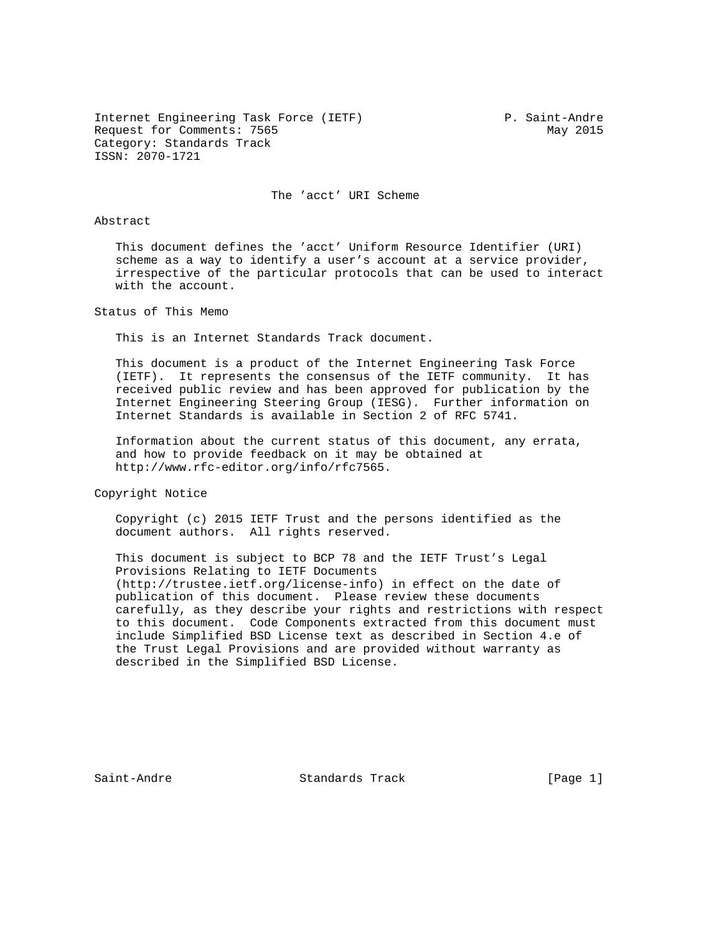Internet Engineering Task Force (IETF) P. Saint-Andre Request for Comments: 7565 May 2015 Category: Standards Track ISSN: 2070-1721

The 'acct' URI Scheme

### Abstract

 This document defines the 'acct' Uniform Resource Identifier (URI) scheme as a way to identify a user's account at a service provider, irrespective of the particular protocols that can be used to interact with the account.

Status of This Memo

This is an Internet Standards Track document.

 This document is a product of the Internet Engineering Task Force (IETF). It represents the consensus of the IETF community. It has received public review and has been approved for publication by the Internet Engineering Steering Group (IESG). Further information on Internet Standards is available in Section 2 of RFC 5741.

 Information about the current status of this document, any errata, and how to provide feedback on it may be obtained at http://www.rfc-editor.org/info/rfc7565.

Copyright Notice

 Copyright (c) 2015 IETF Trust and the persons identified as the document authors. All rights reserved.

 This document is subject to BCP 78 and the IETF Trust's Legal Provisions Relating to IETF Documents (http://trustee.ietf.org/license-info) in effect on the date of publication of this document. Please review these documents carefully, as they describe your rights and restrictions with respect to this document. Code Components extracted from this document must include Simplified BSD License text as described in Section 4.e of the Trust Legal Provisions and are provided without warranty as described in the Simplified BSD License.

Saint-Andre Standards Track [Page 1]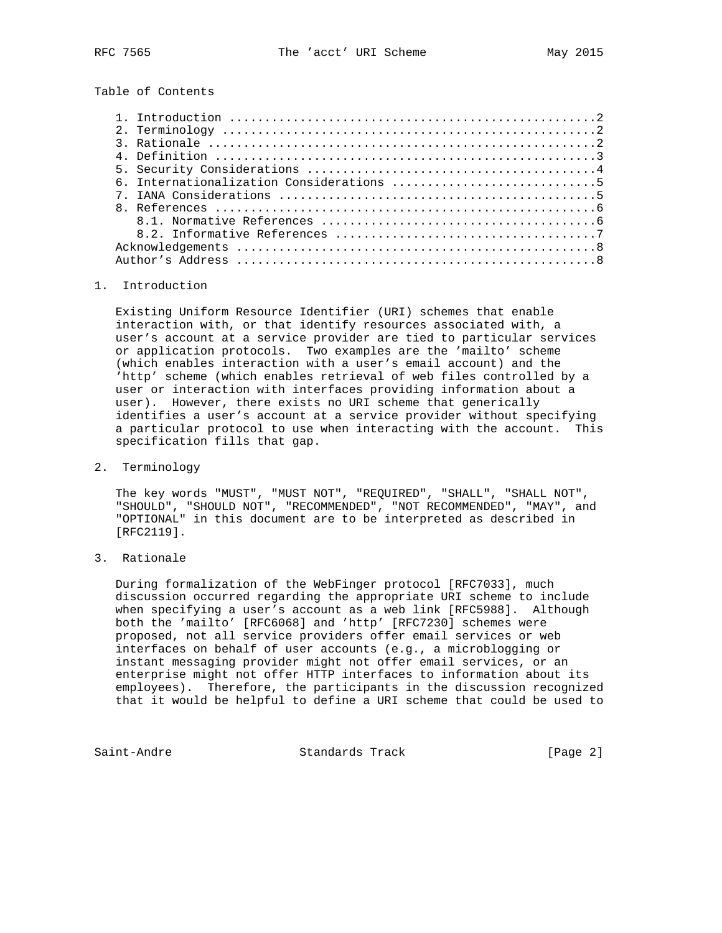Table of Contents

| 3. Rationale $\ldots \ldots \ldots \ldots \ldots \ldots \ldots \ldots \ldots \ldots \ldots \ldots \ldots$ |
|-----------------------------------------------------------------------------------------------------------|
| 4. Definition $\ldots \ldots \ldots \ldots \ldots \ldots \ldots \ldots \ldots \ldots \ldots \ldots$       |
|                                                                                                           |
|                                                                                                           |
|                                                                                                           |
|                                                                                                           |
|                                                                                                           |
|                                                                                                           |
|                                                                                                           |
|                                                                                                           |

### 1. Introduction

 Existing Uniform Resource Identifier (URI) schemes that enable interaction with, or that identify resources associated with, a user's account at a service provider are tied to particular services or application protocols. Two examples are the 'mailto' scheme (which enables interaction with a user's email account) and the 'http' scheme (which enables retrieval of web files controlled by a user or interaction with interfaces providing information about a user). However, there exists no URI scheme that generically identifies a user's account at a service provider without specifying a particular protocol to use when interacting with the account. This specification fills that gap.

#### 2. Terminology

 The key words "MUST", "MUST NOT", "REQUIRED", "SHALL", "SHALL NOT", "SHOULD", "SHOULD NOT", "RECOMMENDED", "NOT RECOMMENDED", "MAY", and "OPTIONAL" in this document are to be interpreted as described in [RFC2119].

# 3. Rationale

 During formalization of the WebFinger protocol [RFC7033], much discussion occurred regarding the appropriate URI scheme to include when specifying a user's account as a web link [RFC5988]. Although both the 'mailto' [RFC6068] and 'http' [RFC7230] schemes were proposed, not all service providers offer email services or web interfaces on behalf of user accounts (e.g., a microblogging or instant messaging provider might not offer email services, or an enterprise might not offer HTTP interfaces to information about its employees). Therefore, the participants in the discussion recognized that it would be helpful to define a URI scheme that could be used to

Saint-Andre Standards Track [Page 2]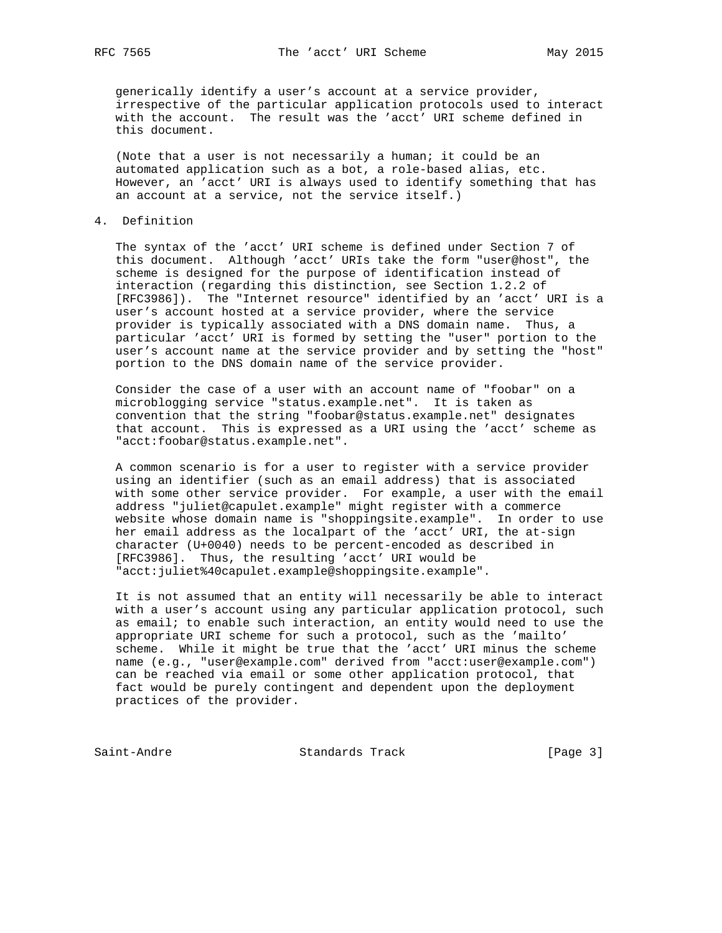generically identify a user's account at a service provider, irrespective of the particular application protocols used to interact with the account. The result was the 'acct' URI scheme defined in this document.

 (Note that a user is not necessarily a human; it could be an automated application such as a bot, a role-based alias, etc. However, an 'acct' URI is always used to identify something that has an account at a service, not the service itself.)

### 4. Definition

 The syntax of the 'acct' URI scheme is defined under Section 7 of this document. Although 'acct' URIs take the form "user@host", the scheme is designed for the purpose of identification instead of interaction (regarding this distinction, see Section 1.2.2 of [RFC3986]). The "Internet resource" identified by an 'acct' URI is a user's account hosted at a service provider, where the service provider is typically associated with a DNS domain name. Thus, a particular 'acct' URI is formed by setting the "user" portion to the user's account name at the service provider and by setting the "host" portion to the DNS domain name of the service provider.

 Consider the case of a user with an account name of "foobar" on a microblogging service "status.example.net". It is taken as convention that the string "foobar@status.example.net" designates that account. This is expressed as a URI using the 'acct' scheme as "acct:foobar@status.example.net".

 A common scenario is for a user to register with a service provider using an identifier (such as an email address) that is associated with some other service provider. For example, a user with the email address "juliet@capulet.example" might register with a commerce website whose domain name is "shoppingsite.example". In order to use her email address as the localpart of the 'acct' URI, the at-sign character (U+0040) needs to be percent-encoded as described in [RFC3986]. Thus, the resulting 'acct' URI would be "acct:juliet%40capulet.example@shoppingsite.example".

 It is not assumed that an entity will necessarily be able to interact with a user's account using any particular application protocol, such as email; to enable such interaction, an entity would need to use the appropriate URI scheme for such a protocol, such as the 'mailto' scheme. While it might be true that the 'acct' URI minus the scheme name (e.g., "user@example.com" derived from "acct:user@example.com") can be reached via email or some other application protocol, that fact would be purely contingent and dependent upon the deployment practices of the provider.

Saint-Andre Standards Track [Page 3]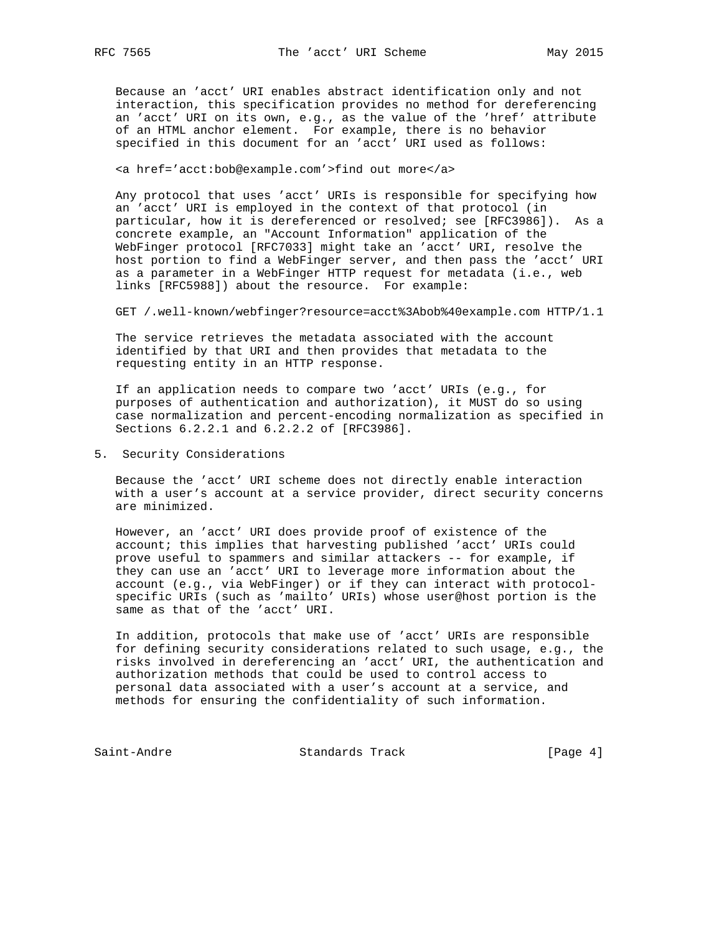Because an 'acct' URI enables abstract identification only and not interaction, this specification provides no method for dereferencing an 'acct' URI on its own, e.g., as the value of the 'href' attribute of an HTML anchor element. For example, there is no behavior specified in this document for an 'acct' URI used as follows:

<a href='acct:bob@example.com'>find out more</a>

 Any protocol that uses 'acct' URIs is responsible for specifying how an 'acct' URI is employed in the context of that protocol (in particular, how it is dereferenced or resolved; see [RFC3986]). As a concrete example, an "Account Information" application of the WebFinger protocol [RFC7033] might take an 'acct' URI, resolve the host portion to find a WebFinger server, and then pass the 'acct' URI as a parameter in a WebFinger HTTP request for metadata (i.e., web links [RFC5988]) about the resource. For example:

GET /.well-known/webfinger?resource=acct%3Abob%40example.com HTTP/1.1

 The service retrieves the metadata associated with the account identified by that URI and then provides that metadata to the requesting entity in an HTTP response.

 If an application needs to compare two 'acct' URIs (e.g., for purposes of authentication and authorization), it MUST do so using case normalization and percent-encoding normalization as specified in Sections 6.2.2.1 and 6.2.2.2 of [RFC3986].

5. Security Considerations

 Because the 'acct' URI scheme does not directly enable interaction with a user's account at a service provider, direct security concerns are minimized.

 However, an 'acct' URI does provide proof of existence of the account; this implies that harvesting published 'acct' URIs could prove useful to spammers and similar attackers -- for example, if they can use an 'acct' URI to leverage more information about the account (e.g., via WebFinger) or if they can interact with protocol specific URIs (such as 'mailto' URIs) whose user@host portion is the same as that of the 'acct' URI.

 In addition, protocols that make use of 'acct' URIs are responsible for defining security considerations related to such usage, e.g., the risks involved in dereferencing an 'acct' URI, the authentication and authorization methods that could be used to control access to personal data associated with a user's account at a service, and methods for ensuring the confidentiality of such information.

Saint-Andre Standards Track [Page 4]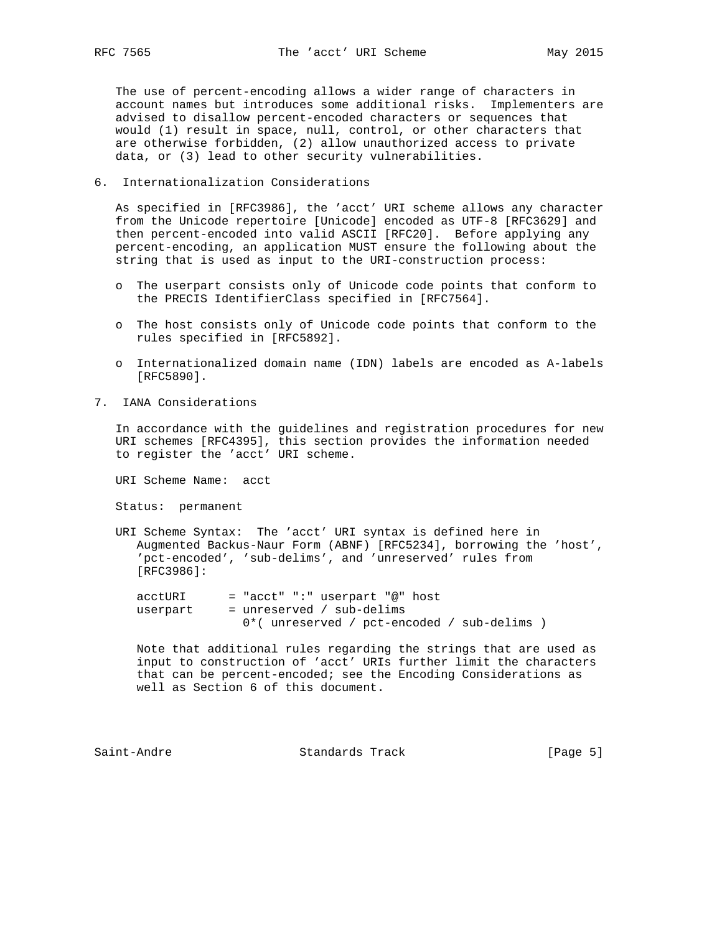The use of percent-encoding allows a wider range of characters in account names but introduces some additional risks. Implementers are advised to disallow percent-encoded characters or sequences that would (1) result in space, null, control, or other characters that are otherwise forbidden, (2) allow unauthorized access to private data, or (3) lead to other security vulnerabilities.

6. Internationalization Considerations

 As specified in [RFC3986], the 'acct' URI scheme allows any character from the Unicode repertoire [Unicode] encoded as UTF-8 [RFC3629] and then percent-encoded into valid ASCII [RFC20]. Before applying any percent-encoding, an application MUST ensure the following about the string that is used as input to the URI-construction process:

- o The userpart consists only of Unicode code points that conform to the PRECIS IdentifierClass specified in [RFC7564].
- o The host consists only of Unicode code points that conform to the rules specified in [RFC5892].
- o Internationalized domain name (IDN) labels are encoded as A-labels [RFC5890].
- 7. IANA Considerations

 In accordance with the guidelines and registration procedures for new URI schemes [RFC4395], this section provides the information needed to register the 'acct' URI scheme.

URI Scheme Name: acct

Status: permanent

 URI Scheme Syntax: The 'acct' URI syntax is defined here in Augmented Backus-Naur Form (ABNF) [RFC5234], borrowing the 'host', 'pct-encoded', 'sub-delims', and 'unreserved' rules from [RFC3986]:

 acctURI = "acct" ":" userpart "@" host  $userpart = unreserved / sub-delims$ 0\*( unreserved / pct-encoded / sub-delims )

 Note that additional rules regarding the strings that are used as input to construction of 'acct' URIs further limit the characters that can be percent-encoded; see the Encoding Considerations as well as Section 6 of this document.

Saint-Andre Standards Track [Page 5]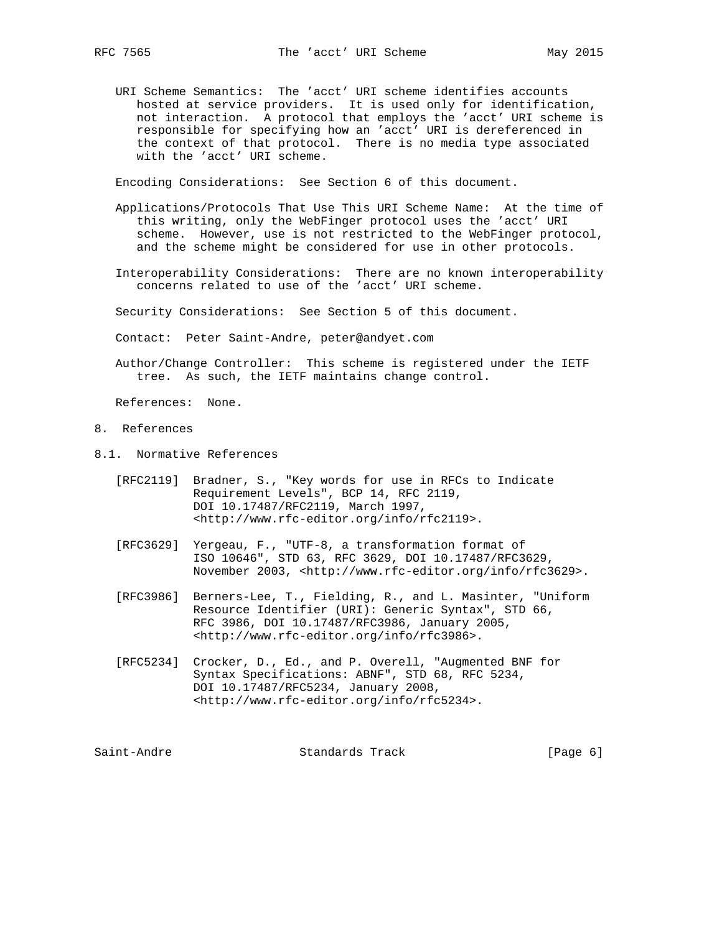URI Scheme Semantics: The 'acct' URI scheme identifies accounts hosted at service providers. It is used only for identification, not interaction. A protocol that employs the 'acct' URI scheme is responsible for specifying how an 'acct' URI is dereferenced in the context of that protocol. There is no media type associated with the 'acct' URI scheme.

Encoding Considerations: See Section 6 of this document.

- Applications/Protocols That Use This URI Scheme Name: At the time of this writing, only the WebFinger protocol uses the 'acct' URI scheme. However, use is not restricted to the WebFinger protocol, and the scheme might be considered for use in other protocols.
- Interoperability Considerations: There are no known interoperability concerns related to use of the 'acct' URI scheme.

Security Considerations: See Section 5 of this document.

Contact: Peter Saint-Andre, peter@andyet.com

 Author/Change Controller: This scheme is registered under the IETF tree. As such, the IETF maintains change control.

References: None.

- 8. References
- 8.1. Normative References
	- [RFC2119] Bradner, S., "Key words for use in RFCs to Indicate Requirement Levels", BCP 14, RFC 2119, DOI 10.17487/RFC2119, March 1997, <http://www.rfc-editor.org/info/rfc2119>.
	- [RFC3629] Yergeau, F., "UTF-8, a transformation format of ISO 10646", STD 63, RFC 3629, DOI 10.17487/RFC3629, November 2003, <http://www.rfc-editor.org/info/rfc3629>.
	- [RFC3986] Berners-Lee, T., Fielding, R., and L. Masinter, "Uniform Resource Identifier (URI): Generic Syntax", STD 66, RFC 3986, DOI 10.17487/RFC3986, January 2005, <http://www.rfc-editor.org/info/rfc3986>.
	- [RFC5234] Crocker, D., Ed., and P. Overell, "Augmented BNF for Syntax Specifications: ABNF", STD 68, RFC 5234, DOI 10.17487/RFC5234, January 2008, <http://www.rfc-editor.org/info/rfc5234>.

Saint-Andre Standards Track [Page 6]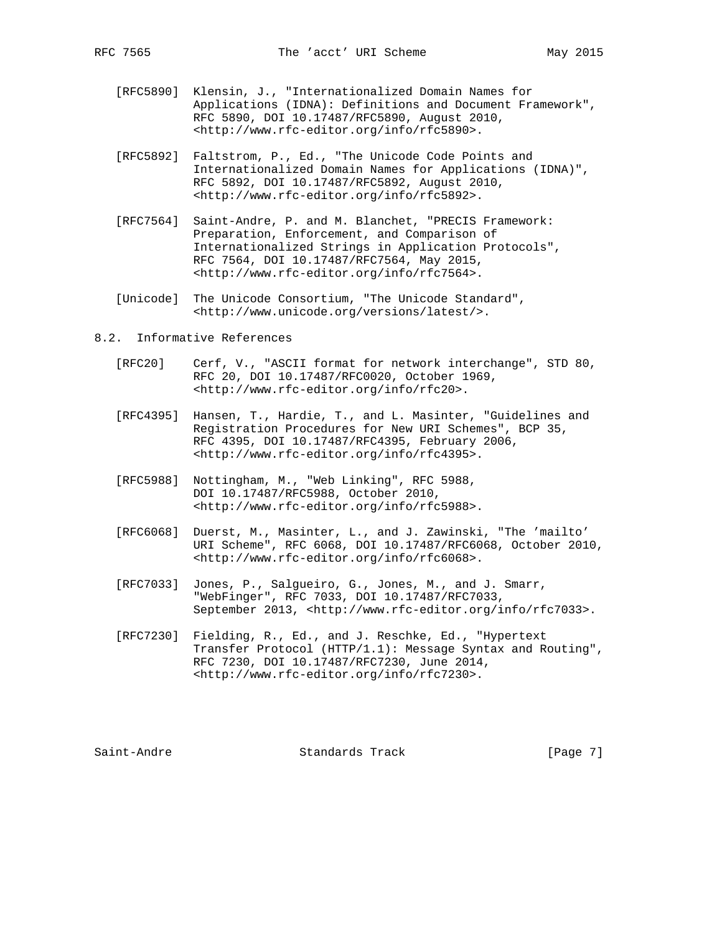- [RFC5890] Klensin, J., "Internationalized Domain Names for Applications (IDNA): Definitions and Document Framework", RFC 5890, DOI 10.17487/RFC5890, August 2010, <http://www.rfc-editor.org/info/rfc5890>.
- [RFC5892] Faltstrom, P., Ed., "The Unicode Code Points and Internationalized Domain Names for Applications (IDNA)", RFC 5892, DOI 10.17487/RFC5892, August 2010, <http://www.rfc-editor.org/info/rfc5892>.
- [RFC7564] Saint-Andre, P. and M. Blanchet, "PRECIS Framework: Preparation, Enforcement, and Comparison of Internationalized Strings in Application Protocols", RFC 7564, DOI 10.17487/RFC7564, May 2015, <http://www.rfc-editor.org/info/rfc7564>.
- [Unicode] The Unicode Consortium, "The Unicode Standard", <http://www.unicode.org/versions/latest/>.
- 8.2. Informative References
	- [RFC20] Cerf, V., "ASCII format for network interchange", STD 80, RFC 20, DOI 10.17487/RFC0020, October 1969, <http://www.rfc-editor.org/info/rfc20>.
	- [RFC4395] Hansen, T., Hardie, T., and L. Masinter, "Guidelines and Registration Procedures for New URI Schemes", BCP 35, RFC 4395, DOI 10.17487/RFC4395, February 2006, <http://www.rfc-editor.org/info/rfc4395>.
	- [RFC5988] Nottingham, M., "Web Linking", RFC 5988, DOI 10.17487/RFC5988, October 2010, <http://www.rfc-editor.org/info/rfc5988>.
	- [RFC6068] Duerst, M., Masinter, L., and J. Zawinski, "The 'mailto' URI Scheme", RFC 6068, DOI 10.17487/RFC6068, October 2010, <http://www.rfc-editor.org/info/rfc6068>.
	- [RFC7033] Jones, P., Salgueiro, G., Jones, M., and J. Smarr, "WebFinger", RFC 7033, DOI 10.17487/RFC7033, September 2013, <http://www.rfc-editor.org/info/rfc7033>.
	- [RFC7230] Fielding, R., Ed., and J. Reschke, Ed., "Hypertext Transfer Protocol (HTTP/1.1): Message Syntax and Routing", RFC 7230, DOI 10.17487/RFC7230, June 2014, <http://www.rfc-editor.org/info/rfc7230>.

Saint-Andre Standards Track [Page 7]